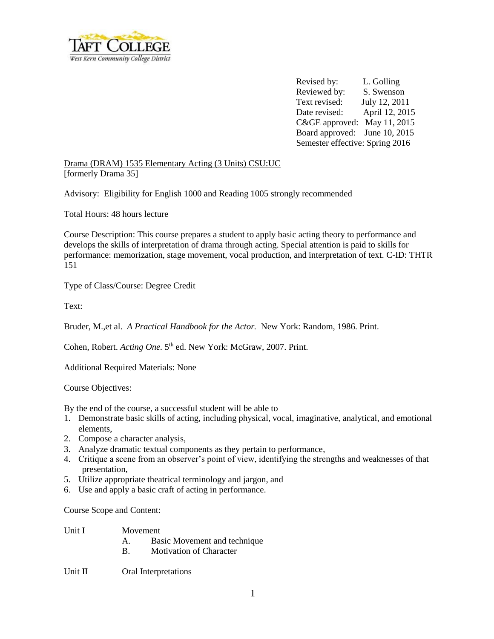

Revised by: L. Golling Reviewed by: S. Swenson Text revised: July 12, 2011 Date revised: April 12, 2015 C&GE approved: May 11, 2015 Board approved: June 10, 2015 Semester effective: Spring 2016

Drama (DRAM) 1535 Elementary Acting (3 Units) CSU:UC [formerly Drama 35]

Advisory: Eligibility for English 1000 and Reading 1005 strongly recommended

Total Hours: 48 hours lecture

Course Description: This course prepares a student to apply basic acting theory to performance and develops the skills of interpretation of drama through acting. Special attention is paid to skills for performance: memorization, stage movement, vocal production, and interpretation of text. C-ID: THTR 151

Type of Class/Course: Degree Credit

Text:

Bruder, M.,et al. *A Practical Handbook for the Actor.* New York: Random, 1986. Print.

Cohen, Robert. *Acting One*. 5<sup>th</sup> ed. New York: McGraw, 2007. Print.

Additional Required Materials: None

Course Objectives:

By the end of the course, a successful student will be able to

- 1. Demonstrate basic skills of acting, including physical, vocal, imaginative, analytical, and emotional elements,
- 2. Compose a character analysis,
- 3. Analyze dramatic textual components as they pertain to performance,
- 4. Critique a scene from an observer's point of view, identifying the strengths and weaknesses of that presentation,
- 5. Utilize appropriate theatrical terminology and jargon, and
- 6. Use and apply a basic craft of acting in performance.

Course Scope and Content:

| Unit I | Movement |
|--------|----------|
|        |          |

- A. Basic Movement and technique
- B. Motivation of Character

Unit II Oral Interpretations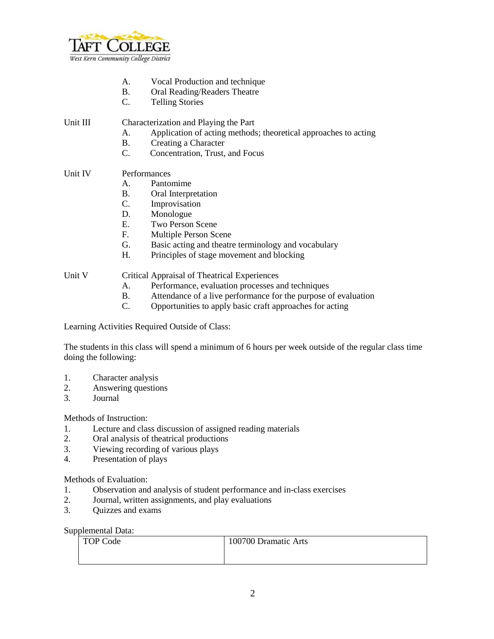

- A. Vocal Production and technique
- B. Oral Reading/Readers Theatre
- C. Telling Stories

## Unit III Characterization and Playing the Part

- A. Application of acting methods; theoretical approaches to acting
- B. Creating a Character
- C. Concentration, Trust, and Focus

## Unit IV Performances

- A. Pantomime
- B. Oral Interpretation
- C. Improvisation
- D. Monologue
- E. Two Person Scene
- F. Multiple Person Scene
- G. Basic acting and theatre terminology and vocabulary
- H. Principles of stage movement and blocking

## Unit V Critical Appraisal of Theatrical Experiences

- A. Performance, evaluation processes and techniques
- B. Attendance of a live performance for the purpose of evaluation
- C. Opportunities to apply basic craft approaches for acting

Learning Activities Required Outside of Class:

The students in this class will spend a minimum of 6 hours per week outside of the regular class time doing the following:

- 1. Character analysis
- 2. Answering questions
- 3. Journal

Methods of Instruction:

- 1. Lecture and class discussion of assigned reading materials
- 2. Oral analysis of theatrical productions
- 3. Viewing recording of various plays
- 4. Presentation of plays

Methods of Evaluation:

- 1. Observation and analysis of student performance and in-class exercises
- 2. Journal, written assignments, and play evaluations
- 3. Quizzes and exams

Supplemental Data:

| <b>TOP Code</b> | 100700 Dramatic Arts |
|-----------------|----------------------|
|                 |                      |